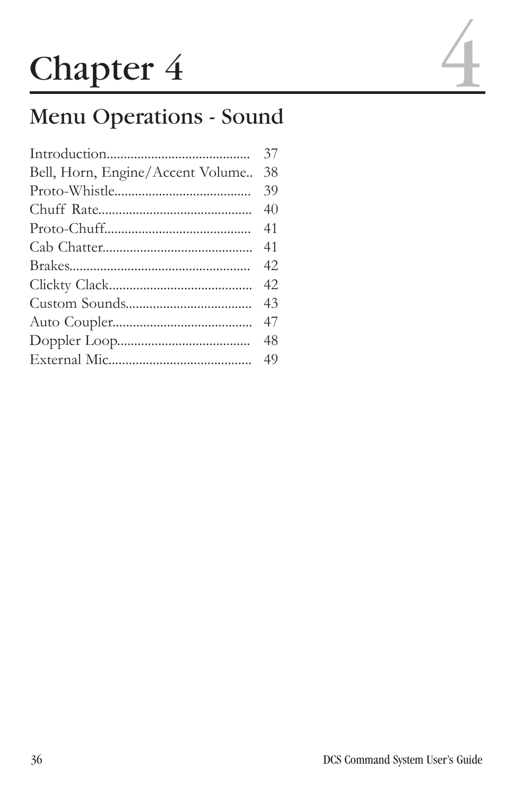# **Chapter 4**

# Menu Operations - Sound

| 37 |
|----|
| 38 |
| 39 |
| 40 |
| 41 |
| 41 |
| 42 |
| 42 |
| 43 |
| 47 |
| 48 |
|    |
|    |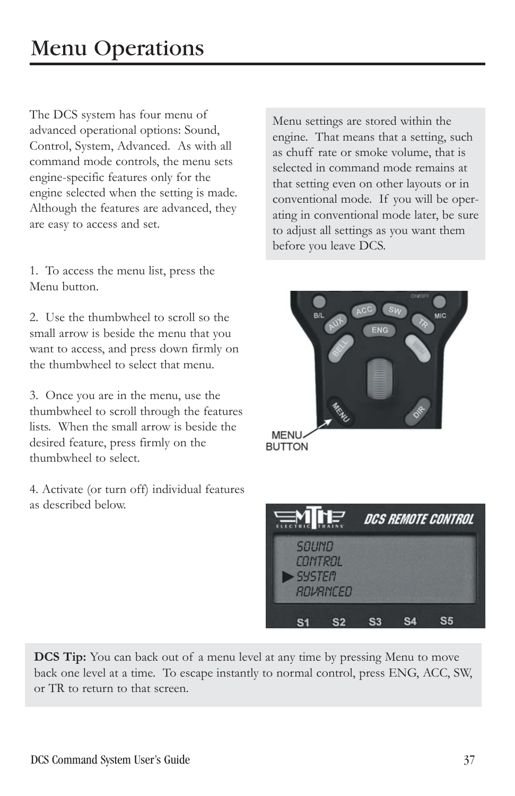The DCS system has four menu of advanced operational options: Sound, Control, System, Advanced. As with all command mode controls, the menu sets engine-specific features only for the engine selected when the setting is made. Although the features are advanced, they are easy to access and set.

1. To access the menu list, press the Menu button.

2. Use the thumbwheel to scroll so the small arrow is beside the menu that you want to access, and press down firmly on the thumbwheel to select that menu.

3. Once you are in the menu, use the thumbwheel to scroll through the features lists. When the small arrow is beside the desired feature, press firmly on the thumbwheel to select.

4. Activate (or turn off) individual features as described below.

Menu settings are stored within the engine. That means that a setting, such as chuff rate or smoke volume, that is selected in command mode remains at that setting even on other layouts or in conventional mode. If you will be operating in conventional mode later, be sure to adjust all settings as you want them before you leave DCS.



**BUTTON** 

| <b>EN HE</b>                                         |  | DCS REMOTE CONTROL |  |
|------------------------------------------------------|--|--------------------|--|
| <b>SOUND</b><br>CONTROL<br><b>SYSTEM</b><br>ROVRNCED |  |                    |  |
|                                                      |  |                    |  |

**DCS Tip:** You can back out of a menu level at any time by pressing Menu to move back one level at a time. To escape instantly to normal control, press ENG, ACC, SW, or TR to return to that screen.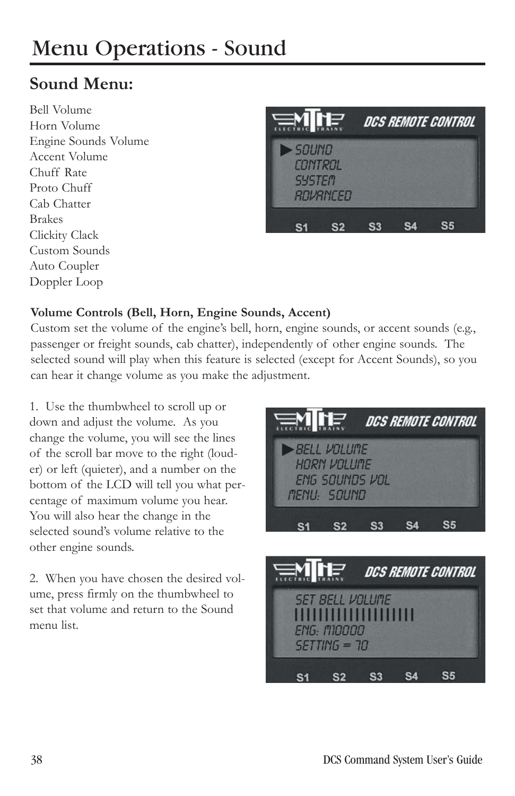# Menu Operations - Sound

# **Sound Menu:**

Bell Volume Horn Volume Engine Sounds Volume Accent Volume Chuff Rate Proto Chuff Cab Chatter Brakes Clickity Clack Custom Sounds Auto Coupler Doppler Loop



#### **Volume Controls (Bell, Horn, Engine Sounds, Accent)**

Custom set the volume of the engine's bell, horn, engine sounds, or accent sounds (e.g., passenger or freight sounds, cab chatter), independently of other engine sounds. The selected sound will play when this feature is selected (except for Accent Sounds), so you can hear it change volume as you make the adjustment.

1. Use the thumbwheel to scroll up or down and adjust the volume. As you change the volume, you will see the lines of the scroll bar move to the right (louder) or left (quieter), and a number on the bottom of the LCD will tell you what percentage of maximum volume you hear. You will also hear the change in the selected sound's volume relative to the other engine sounds.

2. When you have chosen the desired volume, press firmly on the thumbwheel to set that volume and return to the Sound menu list.



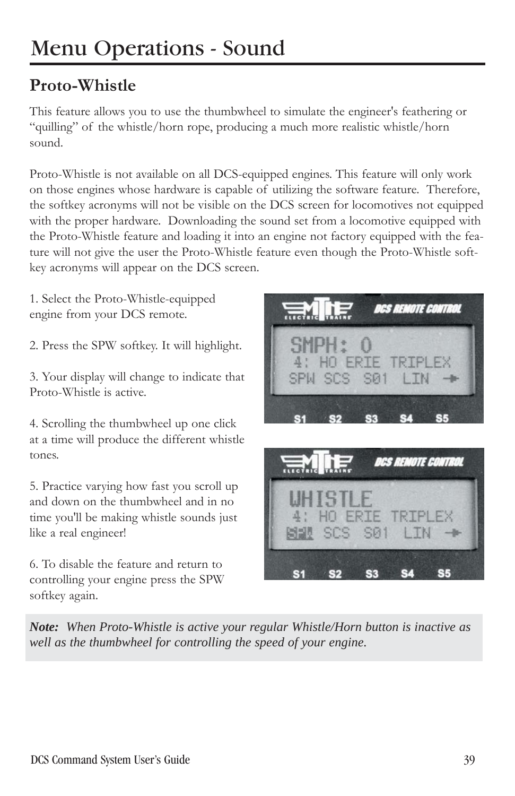# Menu Operations - Sound

# **Proto-Whistle**

This feature allows you to use the thumbwheel to simulate the engineer's feathering or "quilling" of the whistle/horn rope, producing a much more realistic whistle/horn sound.

Proto-Whistle is not available on all DCS-equipped engines. This feature will only work on those engines whose hardware is capable of utilizing the software feature. Therefore, the softkey acronyms will not be visible on the DCS screen for locomotives not equipped with the proper hardware. Downloading the sound set from a locomotive equipped with the Proto-Whistle feature and loading it into an engine not factory equipped with the feature will not give the user the Proto-Whistle feature even though the Proto-Whistle softkey acronyms will appear on the DCS screen.

1. Select the Proto-Whistle-equipped engine from your DCS remote.

2. Press the SPW softkey. It will highlight.

3. Your display will change to indicate that Proto-Whistle is active.

4. Scrolling the thumbwheel up one click at a time will produce the different whistle tones.

5. Practice varying how fast you scroll up and down on the thumbwheel and in no time you'll be making whistle sounds just like a real engineer!

6. To disable the feature and return to controlling your engine press the SPW softkey again.





*Note: When Proto-Whistle is active your regular Whistle/Horn button is inactive as well as the thumbwheel for controlling the speed of your engine.*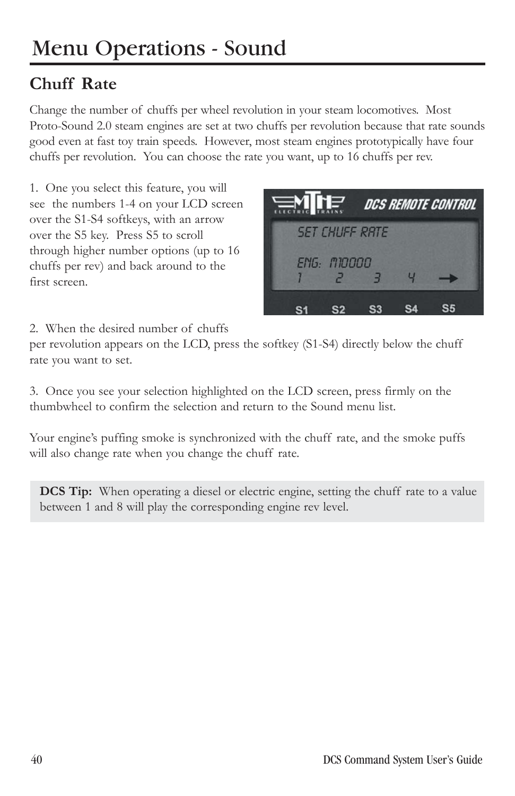# **Chuff Rate**

Change the number of chuffs per wheel revolution in your steam locomotives. Most Proto-Sound 2.0 steam engines are set at two chuffs per revolution because that rate sounds good even at fast toy train speeds. However, most steam engines prototypically have four chuffs per revolution. You can choose the rate you want, up to 16 chuffs per rev.

1. One you select this feature, you will see the numbers 1-4 on your LCD screen over the S1-S4 softkeys, with an arrow over the S5 key. Press S5 to scroll through higher number options (up to 16 chuffs per rev) and back around to the first screen.



2. When the desired number of chuffs

per revolution appears on the LCD, press the softkey (S1-S4) directly below the chuff rate you want to set.

3. Once you see your selection highlighted on the LCD screen, press firmly on the thumbwheel to confirm the selection and return to the Sound menu list.

Your engine's puffing smoke is synchronized with the chuff rate, and the smoke puffs will also change rate when you change the chuff rate.

**DCS Tip:** When operating a diesel or electric engine, setting the chuff rate to a value between 1 and 8 will play the corresponding engine rev level.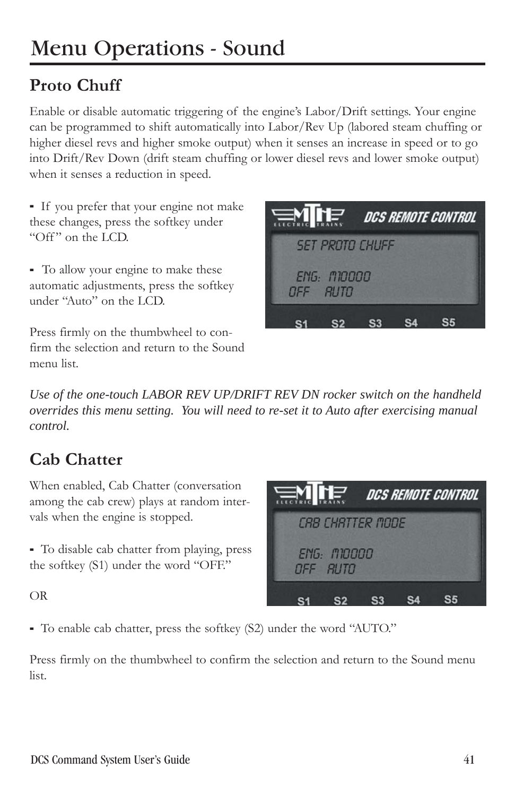# **Proto Chuff**

Enable or disable automatic triggering of the engine's Labor/Drift settings. Your engine can be programmed to shift automatically into Labor/Rev Up (labored steam chuffing or higher diesel revs and higher smoke output) when it senses an increase in speed or to go into Drift/Rev Down (drift steam chuffing or lower diesel revs and lower smoke output) when it senses a reduction in speed.

- If you prefer that your engine not make these changes, press the softkey under "Off" on the LCD.

- To allow your engine to make these automatic adjustments, press the softkey under "Auto" on the LCD.

Press firmly on the thumbwheel to confirm the selection and return to the Sound menu list.



*Use of the one-touch LABOR REV UP/DRIFT REV DN rocker switch on the handheld overrides this menu setting. You will need to re-set it to Auto after exercising manual control.*

# **Cab Chatter**

When enabled, Cab Chatter (conversation among the cab crew) plays at random intervals when the engine is stopped.

- To disable cab chatter from playing, press the softkey (S1) under the word "OFF."

DCS REMOTE CONTROL *CBB CHBTTER MODE* **ENG: M10000** OFF RUTO S2 S3 S4  $S<sub>5</sub>$  $S<sub>1</sub>$ 

OR

- To enable cab chatter, press the softkey (S2) under the word "AUTO."

Press firmly on the thumbwheel to confirm the selection and return to the Sound menu list.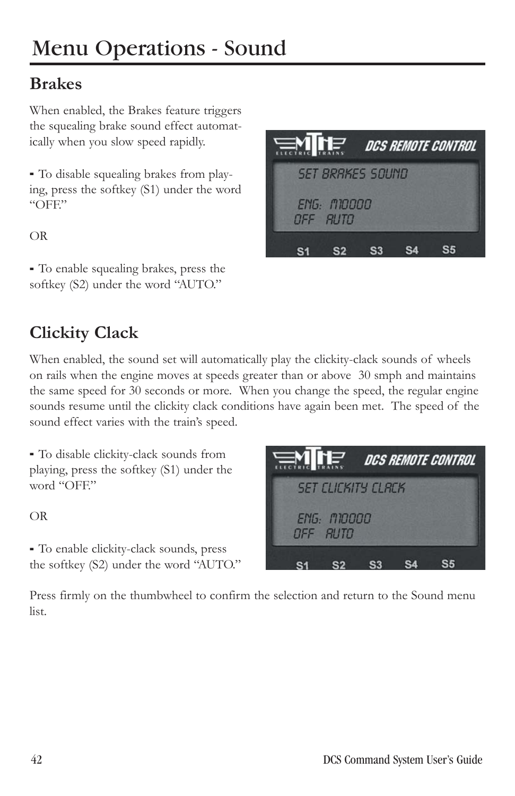# **Brakes**

When enabled, the Brakes feature triggers the squealing brake sound effect automatically when you slow speed rapidly.

- To disable squealing brakes from playing, press the softkey (S1) under the word  $"OFF"$ 

OR

- To enable squealing brakes, press the softkey (S2) under the word "AUTO."

| <b>ENTE</b> |                                |                         | <i>DCS REMOTE CONTROL</i> |  |
|-------------|--------------------------------|-------------------------|---------------------------|--|
|             |                                | <b>SET BRAKES SOUND</b> |                           |  |
|             | <b>ENG: M10000</b><br>OFF RUTO |                         |                           |  |
|             |                                |                         |                           |  |

# **Clickity Clack**

When enabled, the sound set will automatically play the clickity-clack sounds of wheels on rails when the engine moves at speeds greater than or above 30 smph and maintains the same speed for 30 seconds or more. When you change the speed, the regular engine sounds resume until the clickity clack conditions have again been met. The speed of the sound effect varies with the train's speed.

- To disable clickity-clack sounds from playing, press the softkey (S1) under the word "OFF."

OR

- To enable clickity-clack sounds, press the softkey (S2) under the word "AUTO."



Press firmly on the thumbwheel to confirm the selection and return to the Sound menu list.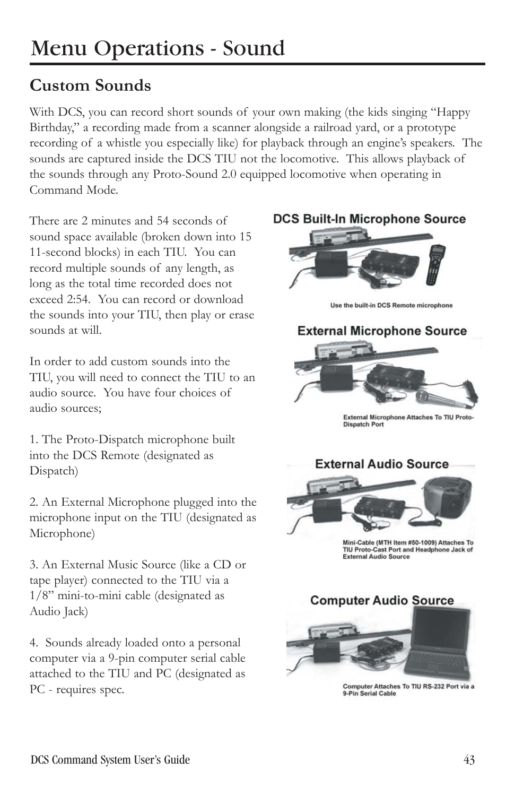# **Custom Sounds**

With DCS, you can record short sounds of your own making (the kids singing "Happy Birthday," a recording made from a scanner alongside a railroad yard, or a prototype recording of a whistle you especially like) for playback through an engine's speakers. The sounds are captured inside the DCS TIU not the locomotive. This allows playback of the sounds through any Proto-Sound 2.0 equipped locomotive when operating in Command Mode.

There are 2 minutes and 54 seconds of sound space available (broken down into 15 11-second blocks) in each TIU. You can record multiple sounds of any length, as long as the total time recorded does not exceed 2:54. You can record or download the sounds into your TIU, then play or erase sounds at will.

In order to add custom sounds into the TIU, you will need to connect the TIU to an audio source. You have four choices of audio sources;

1. The Proto-Dispatch microphone built into the DCS Remote (designated as Dispatch)

2. An External Microphone plugged into the microphone input on the TIU (designated as Microphone)

3. An External Music Source (like a CD or tape player) connected to the TIU via a 1/8" mini-to-mini cable (designated as Audio Jack)

4. Sounds already loaded onto a personal computer via a 9-pin computer serial cable attached to the TIU and PC (designated as PC - requires spec.

#### **DCS Built-In Microphone Source**



Use the built-in DCS Remote microphone

#### **External Microphone Source**



External Microphone Attaches To TIU Proto-**Dispatch Port** 



Mini-Cable (MTH Item #50-1009) Attaches To TIU Proto-Cast Port and Headphone Jack of **External Audio Source** 



Computer Attaches To TIU RS-232 Port via a 9-Pin Serial Cable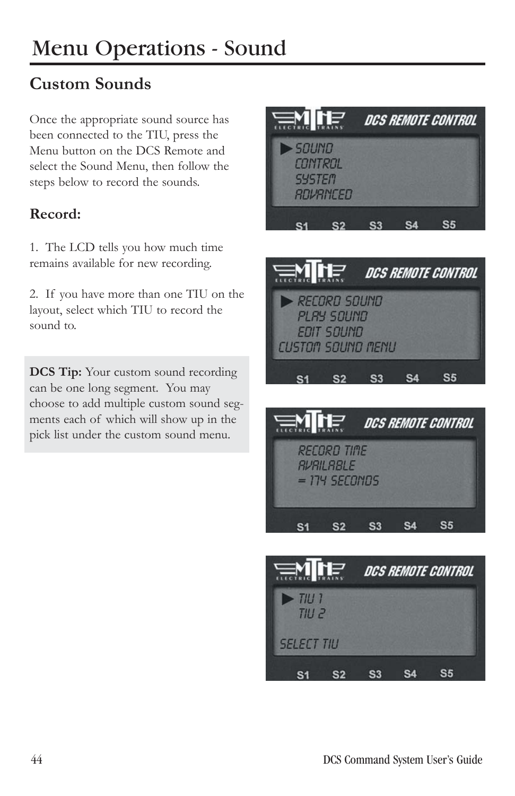# **Custom Sounds**

Once the appropriate sound source has been connected to the TIU, press the Menu button on the DCS Remote and select the Sound Menu, then follow the steps below to record the sounds.

### **Record:**

1. The LCD tells you how much time remains available for new recording.

2. If you have more than one TIU on the layout, select which TIU to record the sound to.

**DCS Tip:** Your custom sound recording can be one long segment. You may choose to add multiple custom sound segments each of which will show up in the pick list under the custom sound menu.







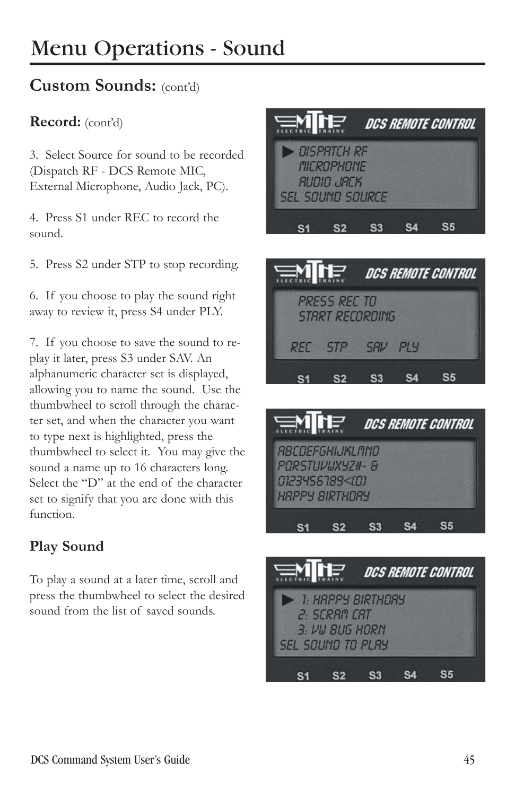# **Custom Sounds:** (cont'd)

#### **Record:** (cont'd)

3. Select Source for sound to be recorded (Dispatch RF - DCS Remote MIC, External Microphone, Audio Jack, PC).

4. Press S1 under REC to record the sound.

5. Press S2 under STP to stop recording.

6. If you choose to play the sound right away to review it, press S4 under PLY.

7. If you choose to save the sound to replay it later, press S3 under SAV. An alphanumeric character set is displayed, allowing you to name the sound. Use the thumbwheel to scroll through the character set, and when the character you want to type next is highlighted, press the thumbwheel to select it. You may give the sound a name up to 16 characters long. Select the "D" at the end of the character set to signify that you are done with this function.

# **Play Sound**

To play a sound at a later time, scroll and press the thumbwheel to select the desired sound from the list of saved sounds.







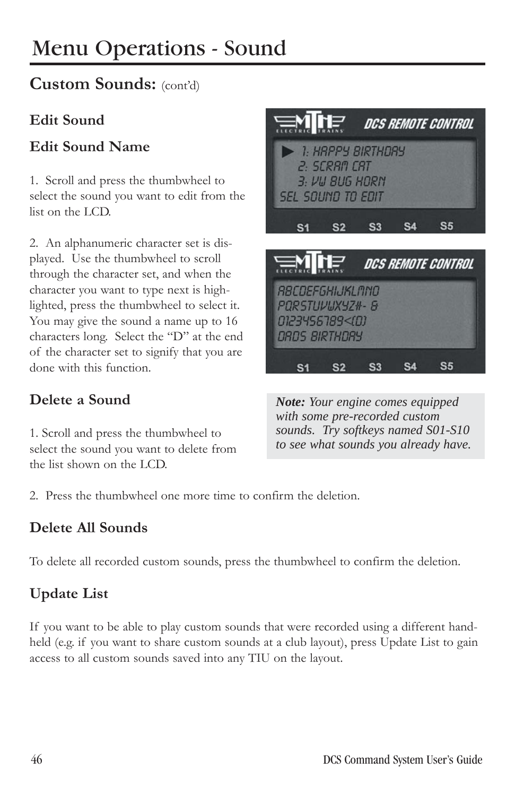# Menu Operations - Sound

# **Custom Sounds:** (cont'd)

### **Edit Sound**

# **Edit Sound Name**

1. Scroll and press the thumbwheel to select the sound you want to edit from the list on the LCD.

2. An alphanumeric character set is displayed. Use the thumbwheel to scroll through the character set, and when the character you want to type next is highlighted, press the thumbwheel to select it. You may give the sound a name up to 16 characters long. Select the "D" at the end of the character set to signify that you are done with this function.

# **Delete a Sound**

1. Scroll and press the thumbwheel to select the sound you want to delete from the list shown on the LCD.



*Note: Your engine comes equipped with some pre-recorded custom sounds. Try softkeys named S01-S10 to see what sounds you already have.*

2. Press the thumbwheel one more time to confirm the deletion.

# **Delete All Sounds**

To delete all recorded custom sounds, press the thumbwheel to confirm the deletion.

# **Update List**

If you want to be able to play custom sounds that were recorded using a different handheld (e.g. if you want to share custom sounds at a club layout), press Update List to gain access to all custom sounds saved into any TIU on the layout.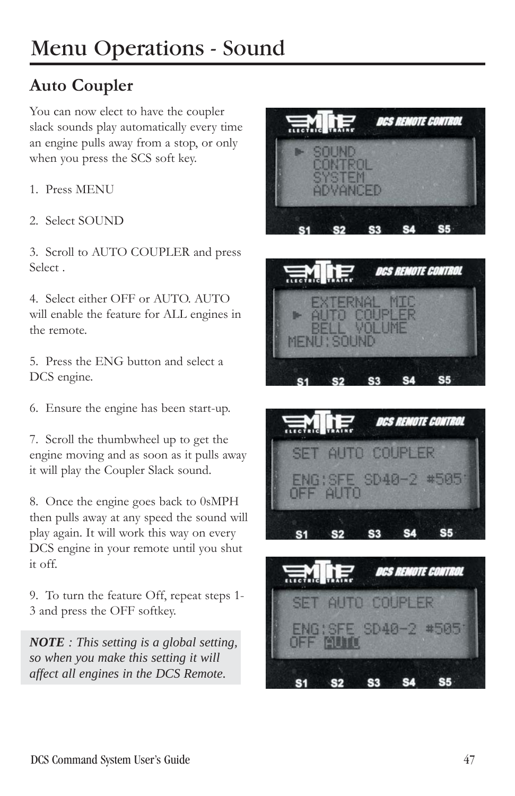# **Auto Coupler**

You can now elect to have the coupler slack sounds play automatically every time an engine pulls away from a stop, or only when you press the SCS soft key.

- 1. Press MENU
- 2. Select SOUND

3. Scroll to AUTO COUPLER and press Select .

4. Select either OFF or AUTO. AUTO will enable the feature for ALL engines in the remote.

5. Press the ENG button and select a DCS engine.

6. Ensure the engine has been start-up.

7. Scroll the thumbwheel up to get the engine moving and as soon as it pulls away it will play the Coupler Slack sound.

8. Once the engine goes back to 0sMPH then pulls away at any speed the sound will play again. It will work this way on every DCS engine in your remote until you shut it off.

9. To turn the feature Off, repeat steps 1- 3 and press the OFF softkey.

*NOTE : This setting is a global setting, so when you make this setting it will affect all engines in the DCS Remote.*







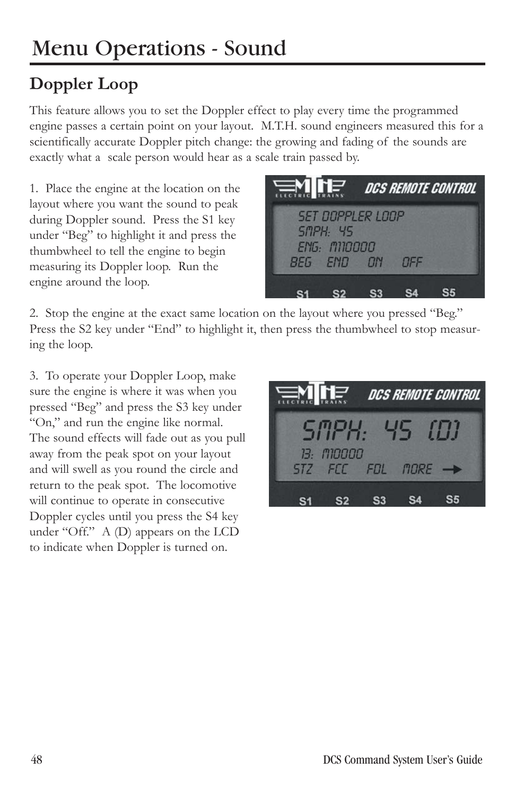# **Doppler Loop**

This feature allows you to set the Doppler effect to play every time the programmed engine passes a certain point on your layout. M.T.H. sound engineers measured this for a scientifically accurate Doppler pitch change: the growing and fading of the sounds are exactly what a scale person would hear as a scale train passed by.

1. Place the engine at the location on the layout where you want the sound to peak during Doppler sound. Press the S1 key under "Beg" to highlight it and press the thumbwheel to tell the engine to begin measuring its Doppler loop. Run the engine around the loop.



2. Stop the engine at the exact same location on the layout where you pressed "Beg." Press the S2 key under "End" to highlight it, then press the thumbwheel to stop measuring the loop.

3. To operate your Doppler Loop, make sure the engine is where it was when you pressed "Beg" and press the S3 key under "On," and run the engine like normal. The sound effects will fade out as you pull away from the peak spot on your layout and will swell as you round the circle and return to the peak spot. The locomotive will continue to operate in consecutive Doppler cycles until you press the S4 key under "Off." A (D) appears on the LCD to indicate when Doppler is turned on.

| $\equiv$ M $\prod_{i=1}^{n}$ dcs remote control |                                       |  |  |  |  |
|-------------------------------------------------|---------------------------------------|--|--|--|--|
|                                                 | SIIPH: 45 ILU                         |  |  |  |  |
|                                                 | <u>13: M10000</u><br>STZ FCC FDL MORE |  |  |  |  |
|                                                 |                                       |  |  |  |  |